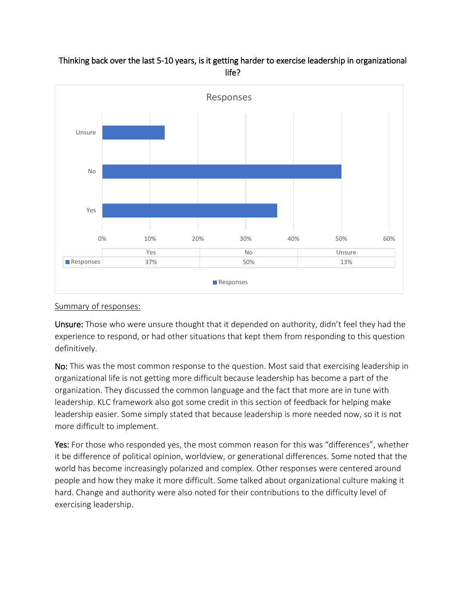

# Thinking back over the last 5-10 years, is it getting harder to exercise leadership in organizational life?

#### Summary of responses:

Unsure: Those who were unsure thought that it depended on authority, didn't feel they had the experience to respond, or had other situations that kept them from responding to this question definitively.

No: This was the most common response to the question. Most said that exercising leadership in organizational life is not getting more difficult because leadership has become a part of the organization. They discussed the common language and the fact that more are in tune with leadership. KLC framework also got some credit in this section of feedback for helping make leadership easier. Some simply stated that because leadership is more needed now, so it is not more difficult to implement.

Yes: For those who responded yes, the most common reason for this was "differences", whether it be difference of political opinion, worldview, or generational differences. Some noted that the world has become increasingly polarized and complex. Other responses were centered around people and how they make it more difficult. Some talked about organizational culture making it hard. Change and authority were also noted for their contributions to the difficulty level of exercising leadership.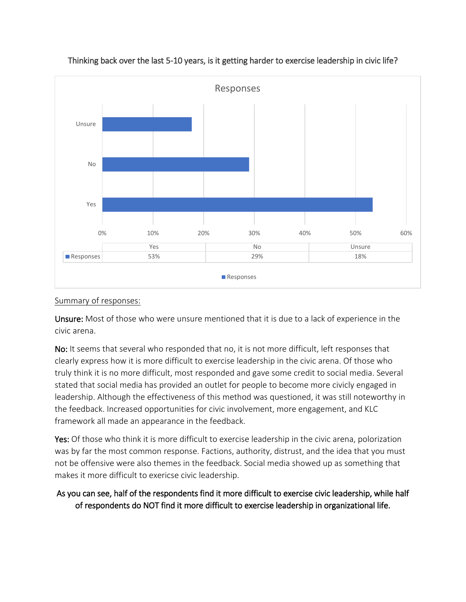

## Thinking back over the last 5-10 years, is it getting harder to exercise leadership in civic life?

#### Summary of responses:

Unsure: Most of those who were unsure mentioned that it is due to a lack of experience in the civic arena.

No: It seems that several who responded that no, it is not more difficult, left responses that clearly express how it is more difficult to exercise leadership in the civic arena. Of those who truly think it is no more difficult, most responded and gave some credit to social media. Several stated that social media has provided an outlet for people to become more civicly engaged in leadership. Although the effectiveness of this method was questioned, it was still noteworthy in the feedback. Increased opportunities for civic involvement, more engagement, and KLC framework all made an appearance in the feedback.

Yes: Of those who think it is more difficult to exercise leadership in the civic arena, polorization was by far the most common response. Factions, authority, distrust, and the idea that you must not be offensive were also themes in the feedback. Social media showed up as something that makes it more difficult to exericse civic leadership.

# As you can see, half of the respondents find it more difficult to exercise civic leadership, while half of respondents do NOT find it more difficult to exercise leadership in organizational life.